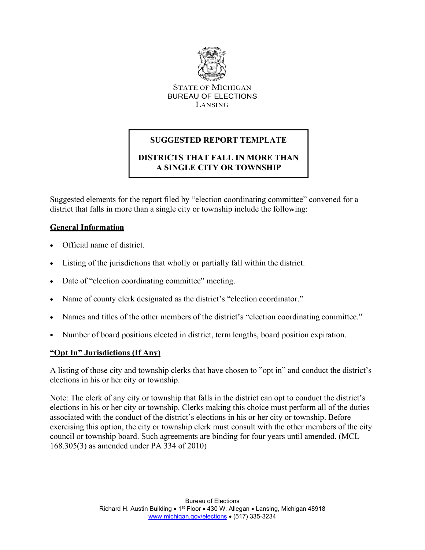

STATE OF MICHIGAN BUREAU OF ELECTIONS LANSING

# **SUGGESTED REPORT TEMPLATE**

# **DISTRICTS THAT FALL IN MORE THAN A SINGLE CITY OR TOWNSHIP**

Suggested elements for the report filed by "election coordinating committee" convened for a district that falls in more than a single city or township include the following:

## **General Information**

- Official name of district.
- Listing of the jurisdictions that wholly or partially fall within the district.
- Date of "election coordinating committee" meeting.
- Name of county clerk designated as the district's "election coordinator."
- Names and titles of the other members of the district's "election coordinating committee."
- Number of board positions elected in district, term lengths, board position expiration.

## **"Opt In" Jurisdictions (If Any)**

A listing of those city and township clerks that have chosen to "opt in" and conduct the district's elections in his or her city or township.

Note: The clerk of any city or township that falls in the district can opt to conduct the district's elections in his or her city or township. Clerks making this choice must perform all of the duties associated with the conduct of the district's elections in his or her city or township. Before exercising this option, the city or township clerk must consult with the other members of the city council or township board. Such agreements are binding for four years until amended. (MCL 168.305(3) as amended under PA 334 of 2010)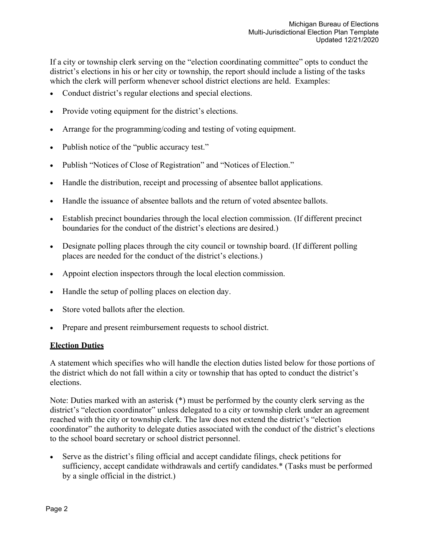If a city or township clerk serving on the "election coordinating committee" opts to conduct the district's elections in his or her city or township, the report should include a listing of the tasks which the clerk will perform whenever school district elections are held. Examples:

- Conduct district's regular elections and special elections.
- Provide voting equipment for the district's elections.
- Arrange for the programming/coding and testing of voting equipment.
- Publish notice of the "public accuracy test."
- Publish "Notices of Close of Registration" and "Notices of Election."
- Handle the distribution, receipt and processing of absentee ballot applications.
- Handle the issuance of absentee ballots and the return of voted absentee ballots.
- Establish precinct boundaries through the local election commission. (If different precinct boundaries for the conduct of the district's elections are desired.)
- Designate polling places through the city council or township board. (If different polling places are needed for the conduct of the district's elections.)
- Appoint election inspectors through the local election commission.
- Handle the setup of polling places on election day.
- Store voted ballots after the election.
- Prepare and present reimbursement requests to school district.

#### **Election Duties**

A statement which specifies who will handle the election duties listed below for those portions of the district which do not fall within a city or township that has opted to conduct the district's elections.

Note: Duties marked with an asterisk (\*) must be performed by the county clerk serving as the district's "election coordinator" unless delegated to a city or township clerk under an agreement reached with the city or township clerk. The law does not extend the district's "election coordinator" the authority to delegate duties associated with the conduct of the district's elections to the school board secretary or school district personnel.

• Serve as the district's filing official and accept candidate filings, check petitions for sufficiency, accept candidate withdrawals and certify candidates.\* (Tasks must be performed by a single official in the district.)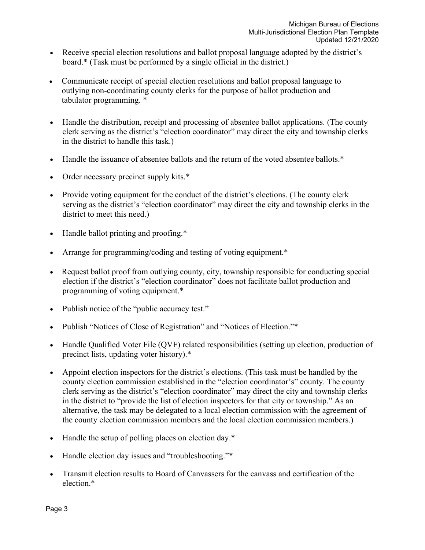- Receive special election resolutions and ballot proposal language adopted by the district's board.\* (Task must be performed by a single official in the district.)
- Communicate receipt of special election resolutions and ballot proposal language to outlying non-coordinating county clerks for the purpose of ballot production and tabulator programming. \*
- Handle the distribution, receipt and processing of absentee ballot applications. (The county clerk serving as the district's "election coordinator" may direct the city and township clerks in the district to handle this task.)
- Handle the issuance of absentee ballots and the return of the voted absentee ballots.\*
- Order necessary precinct supply kits.\*
- Provide voting equipment for the conduct of the district's elections. (The county clerk serving as the district's "election coordinator" may direct the city and township clerks in the district to meet this need.)
- Handle ballot printing and proofing.\*
- Arrange for programming/coding and testing of voting equipment.\*
- Request ballot proof from outlying county, city, township responsible for conducting special election if the district's "election coordinator" does not facilitate ballot production and programming of voting equipment.\*
- Publish notice of the "public accuracy test."
- Publish "Notices of Close of Registration" and "Notices of Election."\*
- Handle Qualified Voter File (QVF) related responsibilities (setting up election, production of precinct lists, updating voter history).\*
- Appoint election inspectors for the district's elections. (This task must be handled by the county election commission established in the "election coordinator's" county. The county clerk serving as the district's "election coordinator" may direct the city and township clerks in the district to "provide the list of election inspectors for that city or township." As an alternative, the task may be delegated to a local election commission with the agreement of the county election commission members and the local election commission members.)
- Handle the setup of polling places on election day.\*
- Handle election day issues and "troubleshooting."\*
- Transmit election results to Board of Canvassers for the canvass and certification of the election.\*